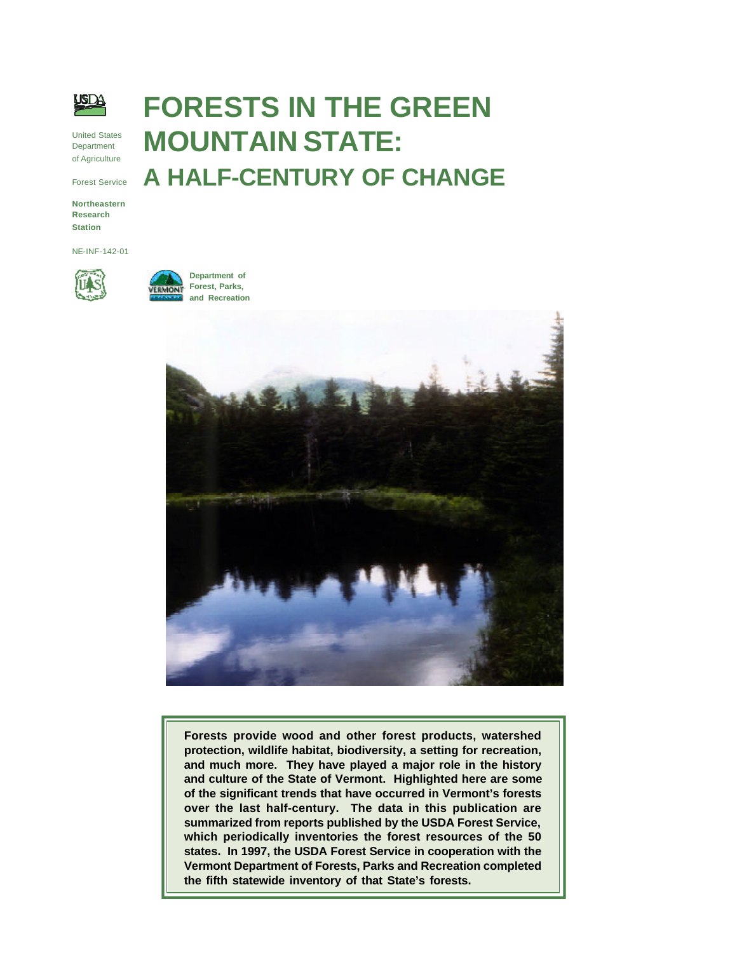

United States Department of Agriculture

Forest Service

**Northeastern Research Station**

NE-INF-142-01



**Department of Forest, Parks, and Recreation**



**FORESTS IN THE GREEN**

**A HALF-CENTURY OF CHANGE**

**MOUNTAIN STATE:**

**Forests provide wood and other forest products, watershed protection, wildlife habitat, biodiversity, a setting for recreation, and much more. They have played a major role in the history and culture of the State of Vermont. Highlighted here are some of the significant trends that have occurred in Vermont's forests over the last half-century. The data in this publication are summarized from reports published by the USDA Forest Service, which periodically inventories the forest resources of the 50 states. In 1997, the USDA Forest Service in cooperation with the Vermont Department of Forests, Parks and Recreation completed the fifth statewide inventory of that State's forests.**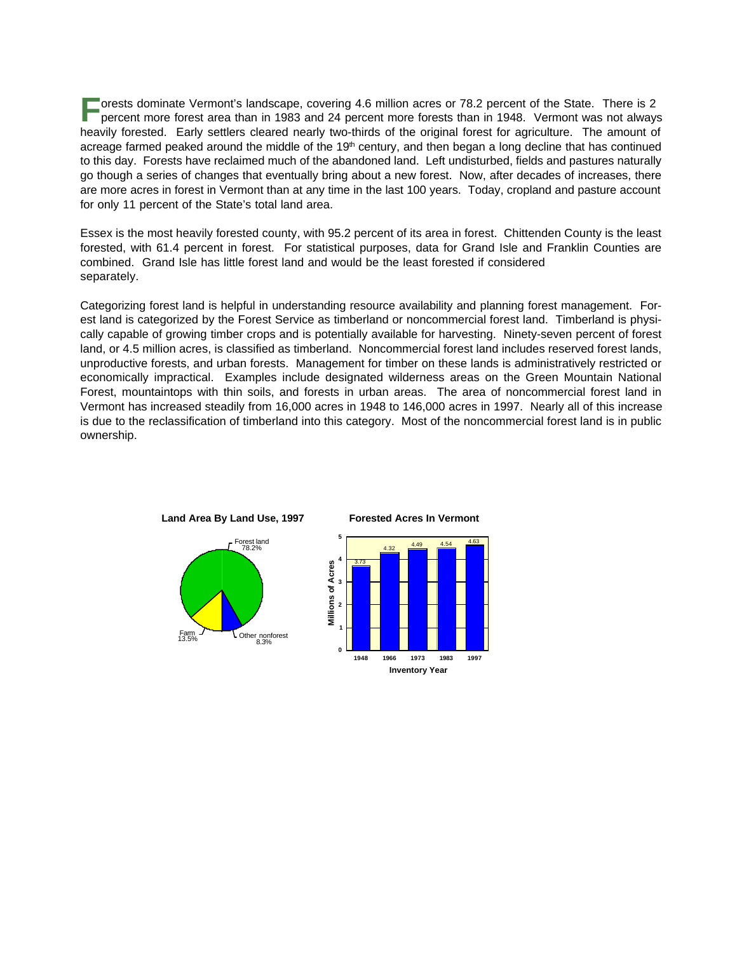**F** orests dominate Vermont's landscape, covering 4.6 million acres or 78.2 percent of the State. There is 2 percent more forest area than in 1983 and 24 percent more forests than in 1948. Vermont was not alway percent more forest area than in 1983 and 24 percent more forests than in 1948. Vermont was not always heavily forested. Early settlers cleared nearly two-thirds of the original forest for agriculture. The amount of acreage farmed peaked around the middle of the  $19<sup>th</sup>$  century, and then began a long decline that has continued to this day. Forests have reclaimed much of the abandoned land. Left undisturbed, fields and pastures naturally go though a series of changes that eventually bring about a new forest. Now, after decades of increases, there are more acres in forest in Vermont than at any time in the last 100 years. Today, cropland and pasture account for only 11 percent of the State's total land area.

Essex is the most heavily forested county, with 95.2 percent of its area in forest. Chittenden County is the least forested, with 61.4 percent in forest. For statistical purposes, data for Grand Isle and Franklin Counties are combined. Grand Isle has little forest land and would be the least forested if considered separately.

Categorizing forest land is helpful in understanding resource availability and planning forest management. Forest land is categorized by the Forest Service as timberland or noncommercial forest land. Timberland is physically capable of growing timber crops and is potentially available for harvesting. Ninety-seven percent of forest land, or 4.5 million acres, is classified as timberland. Noncommercial forest land includes reserved forest lands, unproductive forests, and urban forests. Management for timber on these lands is administratively restricted or economically impractical. Examples include designated wilderness areas on the Green Mountain National Forest, mountaintops with thin soils, and forests in urban areas. The area of noncommercial forest land in Vermont has increased steadily from 16,000 acres in 1948 to 146,000 acres in 1997. Nearly all of this increase is due to the reclassification of timberland into this category. Most of the noncommercial forest land is in public ownership.

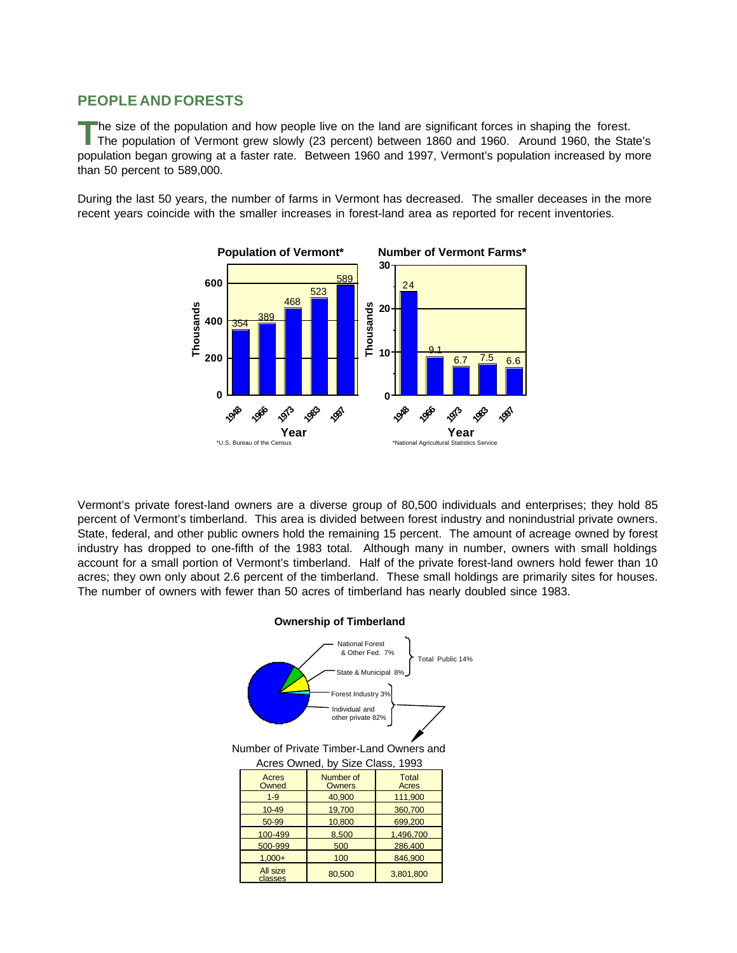## **PEOPLE AND FORESTS**

**T** he size of the population and how people live on the land are significant forces in shaping the forest. The population of Vermont grew slowly (23 percent) between 1860 and 1960. Around 1960, the State's population began growing at a faster rate. Between 1960 and 1997, Vermont's population increased by more than 50 percent to 589,000.

During the last 50 years, the number of farms in Vermont has decreased. The smaller deceases in the more recent years coincide with the smaller increases in forest-land area as reported for recent inventories.



Vermont's private forest-land owners are a diverse group of 80,500 individuals and enterprises; they hold 85 percent of Vermont's timberland. This area is divided between forest industry and nonindustrial private owners. State, federal, and other public owners hold the remaining 15 percent. The amount of acreage owned by forest industry has dropped to one-fifth of the 1983 total. Although many in number, owners with small holdings account for a small portion of Vermont's timberland. Half of the private forest-land owners hold fewer than 10 acres; they own only about 2.6 percent of the timberland. These small holdings are primarily sites for houses. The number of owners with fewer than 50 acres of timberland has nearly doubled since 1983.

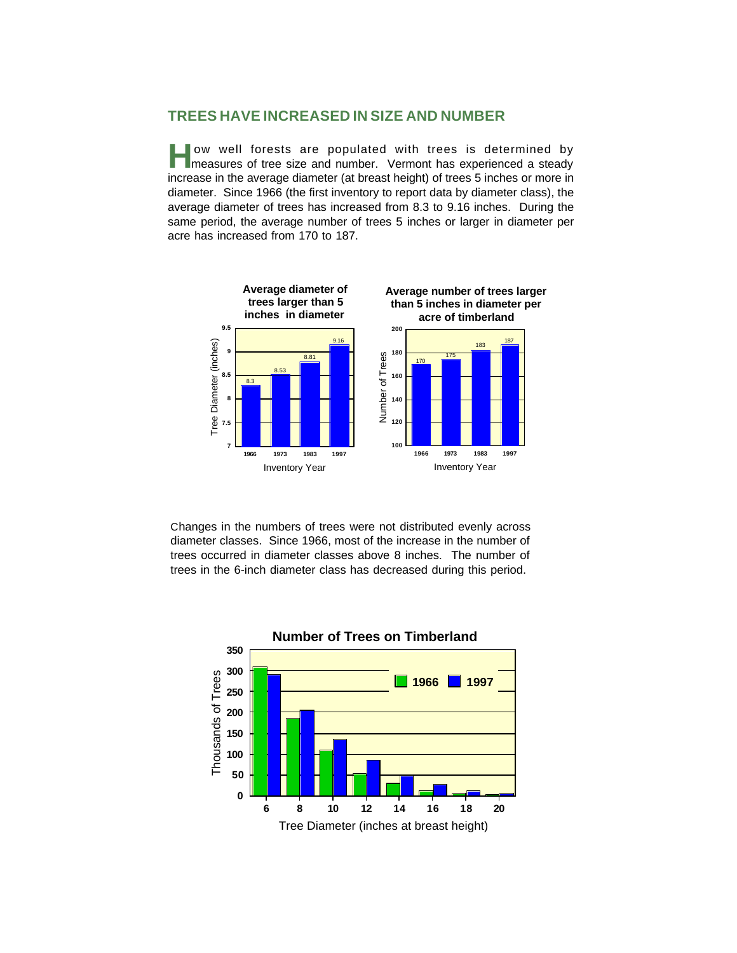### **TREES HAVE INCREASED IN SIZE AND NUMBER**

ow well forests are populated with trees is determined by measures of tree size and number. Vermont has experienced a steady measures of tree size and number. Vermont has experienced a steady increase in the average diameter (at breast height) of trees 5 inches or more in diameter. Since 1966 (the first inventory to report data by diameter class), the average diameter of trees has increased from 8.3 to 9.16 inches. During the same period, the average number of trees 5 inches or larger in diameter per acre has increased from 170 to 187.



Changes in the numbers of trees were not distributed evenly across diameter classes. Since 1966, most of the increase in the number of trees occurred in diameter classes above 8 inches. The number of trees in the 6-inch diameter class has decreased during this period.

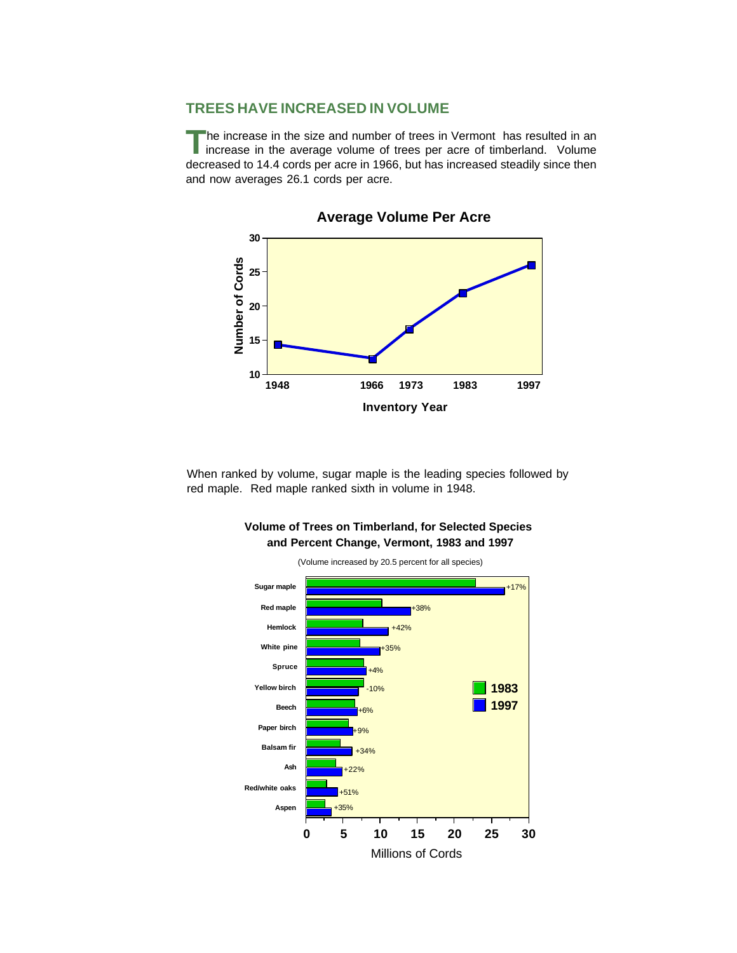## **TREES HAVE INCREASED IN VOLUME**

**T** he increase in the size and number of trees in Vermont has resulted in an increase in the average volume of trees per acre of timberland. Volume decreased to 14.4 cords per acre in 1966, but has increased steadily since then and now averages 26.1 cords per acre.



**Average Volume Per Acre**

When ranked by volume, sugar maple is the leading species followed by red maple. Red maple ranked sixth in volume in 1948.



**Volume of Trees on Timberland, for Selected Species and Percent Change, Vermont, 1983 and 1997**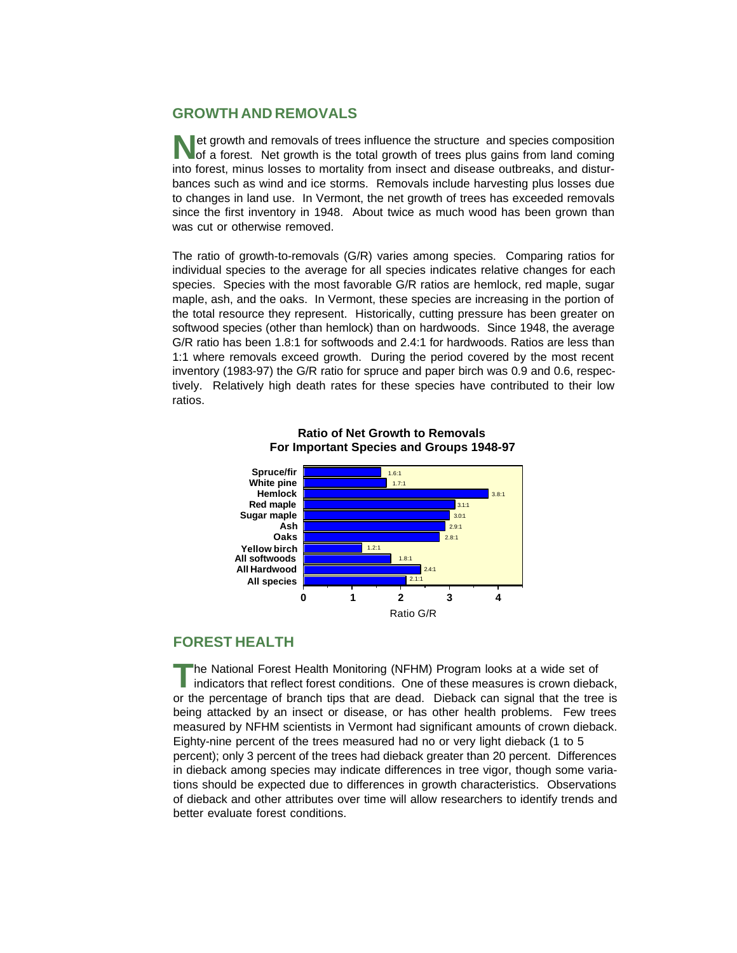# **GROWTH AND REMOVALS**

**N** et growth and removals of trees influence the structure and species composition of a forest. Net growth is the total growth of trees plus gains from land coming of a forest. Net growth is the total growth of trees plus gains from land coming into forest, minus losses to mortality from insect and disease outbreaks, and disturbances such as wind and ice storms. Removals include harvesting plus losses due to changes in land use. In Vermont, the net growth of trees has exceeded removals since the first inventory in 1948. About twice as much wood has been grown than was cut or otherwise removed.

The ratio of growth-to-removals (G/R) varies among species. Comparing ratios for individual species to the average for all species indicates relative changes for each species. Species with the most favorable G/R ratios are hemlock, red maple, sugar maple, ash, and the oaks. In Vermont, these species are increasing in the portion of the total resource they represent. Historically, cutting pressure has been greater on softwood species (other than hemlock) than on hardwoods. Since 1948, the average G/R ratio has been 1.8:1 for softwoods and 2.4:1 for hardwoods. Ratios are less than 1:1 where removals exceed growth. During the period covered by the most recent inventory (1983-97) the G/R ratio for spruce and paper birch was 0.9 and 0.6, respectively. Relatively high death rates for these species have contributed to their low ratios.



#### **Ratio of Net Growth to Removals For Important Species and Groups 1948-97**

# **FOREST HEALTH**

**T** he National Forest Health Monitoring (NFHM) Program looks at a wide set of indicators that reflect forest conditions. One of these measures is crown dieback, or the percentage of branch tips that are dead. Dieback can signal that the tree is being attacked by an insect or disease, or has other health problems. Few trees measured by NFHM scientists in Vermont had significant amounts of crown dieback. Eighty-nine percent of the trees measured had no or very light dieback (1 to 5 percent); only 3 percent of the trees had dieback greater than 20 percent. Differences in dieback among species may indicate differences in tree vigor, though some variations should be expected due to differences in growth characteristics. Observations of dieback and other attributes over time will allow researchers to identify trends and better evaluate forest conditions.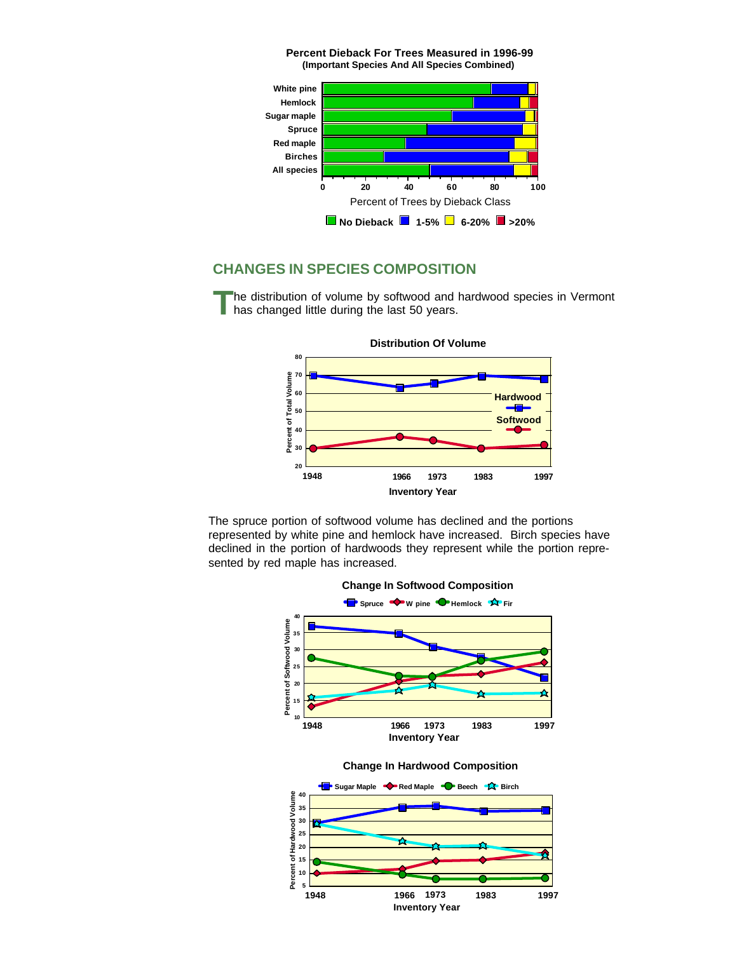

**Percent Dieback For Trees Measured in 1996-99**

## **CHANGES IN SPECIES COMPOSITION**

**T** he distribution of volume by softwood and hardwood species in Vermont has changed little during the last 50 years.



The spruce portion of softwood volume has declined and the portions represented by white pine and hemlock have increased. Birch species have declined in the portion of hardwoods they represent while the portion represented by red maple has increased.